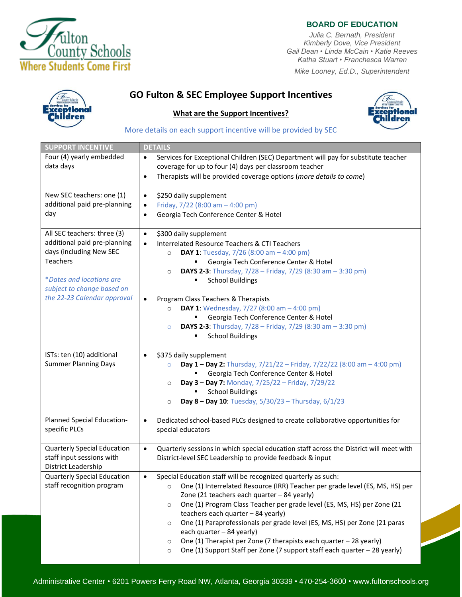

## **BOARD OF EDUCATION**

*Julia C. Bernath, President Kimberly Dove, Vice President Gail Dean • Linda McCain • Katie Reeves Katha Stuart • Franchesca Warren*

*Mike Looney, Ed.D., Superintendent*



# **GO Fulton & SEC Employee Support Incentives**

#### **What are the Support Incentives?**



#### More details on each support incentive will be provided by SEC

| <b>SUPPORT INCENTIVE</b>                                                                                                                                                                    | <b>DETAILS</b>                                                                                                                                                                                                                                                                                                                                                                                                                                                                                                                                                                                                                                 |
|---------------------------------------------------------------------------------------------------------------------------------------------------------------------------------------------|------------------------------------------------------------------------------------------------------------------------------------------------------------------------------------------------------------------------------------------------------------------------------------------------------------------------------------------------------------------------------------------------------------------------------------------------------------------------------------------------------------------------------------------------------------------------------------------------------------------------------------------------|
| Four (4) yearly embedded<br>data days                                                                                                                                                       | Services for Exceptional Children (SEC) Department will pay for substitute teacher<br>$\bullet$<br>coverage for up to four (4) days per classroom teacher<br>Therapists will be provided coverage options (more details to come)<br>$\bullet$                                                                                                                                                                                                                                                                                                                                                                                                  |
| New SEC teachers: one (1)<br>additional paid pre-planning<br>day                                                                                                                            | \$250 daily supplement<br>$\bullet$<br>Friday, $7/22$ (8:00 am $-$ 4:00 pm)<br>$\bullet$<br>Georgia Tech Conference Center & Hotel<br>$\bullet$                                                                                                                                                                                                                                                                                                                                                                                                                                                                                                |
| All SEC teachers: three (3)<br>additional paid pre-planning<br>days (including New SEC<br>Teachers<br>*Dates and locations are<br>subject to change based on<br>the 22-23 Calendar approval | \$300 daily supplement<br>$\bullet$<br><b>Interrelated Resource Teachers &amp; CTI Teachers</b><br>$\bullet$<br><b>DAY 1:</b> Tuesday, $7/26$ (8:00 am $-$ 4:00 pm)<br>$\circ$<br>Georgia Tech Conference Center & Hotel<br><b>DAYS 2-3:</b> Thursday, 7/28 - Friday, 7/29 (8:30 am - 3:30 pm)<br>$\circ$<br><b>School Buildings</b><br>п<br>Program Class Teachers & Therapists<br>$\bullet$<br><b>DAY 1:</b> Wednesday, $7/27$ (8:00 am $-4:00$ pm)<br>$\circ$<br>Georgia Tech Conference Center & Hotel<br><b>DAYS 2-3:</b> Thursday, $7/28$ – Friday, $7/29$ (8:30 am – 3:30 pm)<br>$\circ$                                                |
| ISTs: ten (10) additional                                                                                                                                                                   | <b>School Buildings</b><br>\$375 daily supplement<br>$\bullet$                                                                                                                                                                                                                                                                                                                                                                                                                                                                                                                                                                                 |
| <b>Summer Planning Days</b>                                                                                                                                                                 | <b>Day 1 - Day 2:</b> Thursday, $7/21/22$ - Friday, $7/22/22$ (8:00 am - 4:00 pm)<br>$\circ$<br>Georgia Tech Conference Center & Hotel<br>Day 3 - Day 7: Monday, 7/25/22 - Friday, 7/29/22<br>$\circ$<br><b>School Buildings</b><br>Day 8 - Day 10: Tuesday, 5/30/23 - Thursday, 6/1/23<br>$\circ$                                                                                                                                                                                                                                                                                                                                             |
| Planned Special Education-<br>specific PLCs                                                                                                                                                 | Dedicated school-based PLCs designed to create collaborative opportunities for<br>$\bullet$<br>special educators                                                                                                                                                                                                                                                                                                                                                                                                                                                                                                                               |
| <b>Quarterly Special Education</b><br>staff input sessions with<br>District Leadership                                                                                                      | Quarterly sessions in which special education staff across the District will meet with<br>$\bullet$<br>District-level SEC Leadership to provide feedback & input                                                                                                                                                                                                                                                                                                                                                                                                                                                                               |
| <b>Quarterly Special Education</b><br>staff recognition program                                                                                                                             | Special Education staff will be recognized quarterly as such:<br>$\bullet$<br>One (1) Interrelated Resource (IRR) Teacher per grade level (ES, MS, HS) per<br>$\circ$<br>Zone (21 teachers each quarter - 84 yearly)<br>One (1) Program Class Teacher per grade level (ES, MS, HS) per Zone (21<br>$\circ$<br>teachers each quarter - 84 yearly)<br>One (1) Paraprofessionals per grade level (ES, MS, HS) per Zone (21 paras<br>$\circ$<br>each quarter - 84 yearly)<br>One (1) Therapist per Zone (7 therapists each quarter - 28 yearly)<br>$\circ$<br>One (1) Support Staff per Zone (7 support staff each quarter - 28 yearly)<br>$\circ$ |